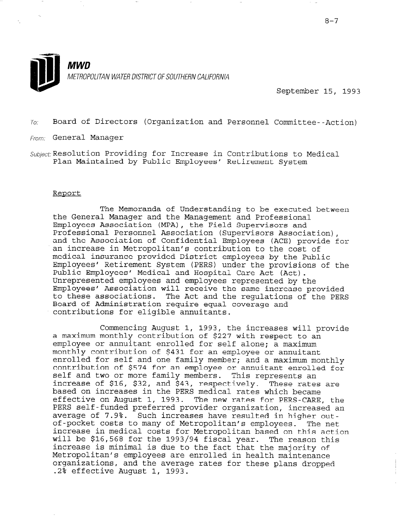

September 15, 1993

 $T_{\text{O}}$ : Board of Directors (Organization and Personnel Committee--Action)

From: General Manager

Subject: Resolution Providing for Increase in Contributions to Medical Plan Maintained by Public Employees' Retirement System

#### Report

The Memoranda of Understanding to be executed between the General Manager and the Management and Professional Employees Association (MPA), the Field Supervisors and Professional Personnel Association (Supervisors Association), and the Association of Confidential Employees (ACE) provide for an increase in Metropolitan's contribution to the cost of medical insurance provided District employees by the Public Employees' Retirement System (PERS) under the provisions of the Public Employees' Medical and Hospital Care Act (Act). Unrepresented employees and employees represented by the Employees' Association will receive the same increase provided to these associations. The Act and the regulations of the PERS Board of Administration require equal coverage and contributions for eligible annuitants.

Commencing August 1, 1993, the increases will provide a maximum monthly contribution of \$227 with respect to an employee or annuitant enrolled for self alone; a maximum monthly contribution of \$431 for an employee or annuitant enrolled for self and one family member; and a maximum monthly contribution of \$574 for an employee or annuitant enrolled for an contribution of \$574 for an employee or annuitant enrolled for<br>self and two or more family members. This represents an increase of \$16, \$32, and \$43, respectively. These rates are based on increases in the PERS medical rates which became pased on Increases in the raks medical faces which became<br>offective on August 1, 1993. The new rates for PERS-CARE, the effective on August 1, 1993. The new rates for PERS-CARE, the<br>PERS self-funded preferred animalization, increased and increased and increased and increased and increased an PERS self-funded preferred provider organization, increased an average of 7.9%. Such increases have resulted in higher outof-pocket costs to many of Metropolitan's employees. The net increase in medical costs for Metropolitan based on this action will be \$16,568 for the 1993/94 fiscal year. The reason this increase is minimal is due to the fact that the majority of Metropolitan's employees are enrolled in health maintenance organizations, and the average rates for these plans dropped.<br>.2% effective August 1, 1993.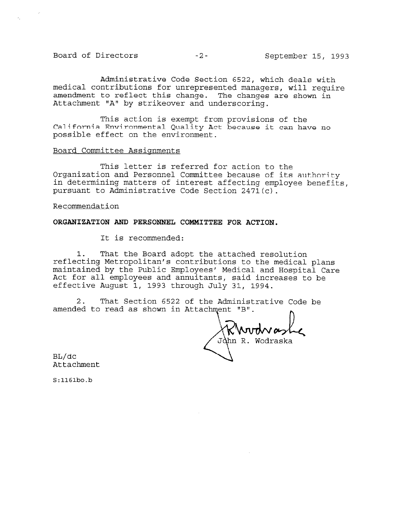# Board of Directors -2- September 15, 1993

Administrative Code Section 6522, which deals with medical contributions for unrepresented managers, will require amendment to reflect this change. The changes are shown in Attachment "A" by strikeover and underscoring.

This action is exempt from provisions of the California Environmental Quality Act because it can have no possible effect on the environment.

## Board Committee Assignments

This letter is referred for action to the Organization and Personnel Committee because of its authority in determining matters of interest affecting employee benefits, pursuant to Administrative Code Section 2471 $(c)$ .

Recommendation

### ORGANIZATION AND PERSONNEL COMMITTEE FOR ACTION.

It is recommended:

That the Board adopt the attached resolution reflecting Metropolitan's contributions to the medical plans maintained by the Public Employees' Medical and Hospital Care Act for all employees and annuitants, said increases to be effective August 1, 1993 through July 31, 1994.

2. That Section 6522 of the Administrative Code be amended to read as shown in Attachment "B".

hn R. Wodraska

BL/dc Attachment

 $S:1161bo.b$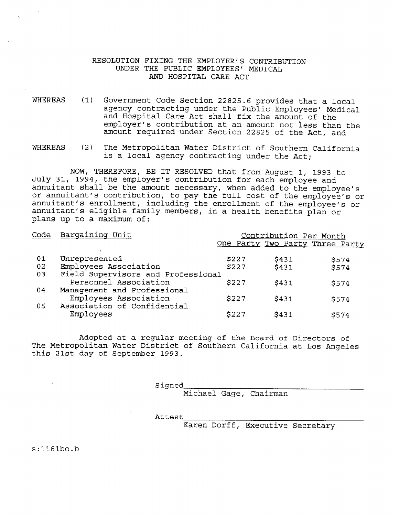# RESOLUTION FIXING THE EMPLOYER'S CONTRIBUTION UNDER THE PUBLIC EMPLOYEES' MEDICAL AND HOSPITAL CARE ACT

- WHEREAS (1) Government Code Section 22825.6 provides that a local agency contracting under the Public Employees' Medical and Hospital Care Act shall fix the amount of the employer's contribution at an amount not iess than the amount required under Section 22825 of the Act, and
- WHEREAS (2) The Metropolitan Water District of Southern California is a local agency contracting under the Act;

NOW, THEREFORE, BE IT RESOLVED that from August 1, 1993 to July 31, 1994, the employer's contribution for each employee and annuitant shall be the amount necessary, when added to the employee or annuitant's contribution, to pay the full cost of the employee's or annuitant's enrollment, including the enrollment of the employee's or annuitant's eligible family members, in a health benefits plan or plans up to a maximum of:

| Code | Bargaining Unit                    | Contribution Per Month<br>One Party Two Party Three Party |       |             |  |  |
|------|------------------------------------|-----------------------------------------------------------|-------|-------------|--|--|
|      |                                    |                                                           |       |             |  |  |
| 01   | Unrepresented                      | \$227                                                     | \$431 | \$574       |  |  |
| 02   | Employees Association              | \$227                                                     | \$431 | <b>S574</b> |  |  |
| 03   | Field Supervisors and Professional |                                                           |       |             |  |  |
|      | Personnel Association              | \$227                                                     | \$431 | \$574       |  |  |
| 04   | Management and Professional        |                                                           |       |             |  |  |
|      | Employees Association              | \$227                                                     | \$431 | \$574       |  |  |
| 05   | Association of Confidential        |                                                           |       |             |  |  |
|      | Employees                          | \$227                                                     | \$431 | \$574       |  |  |
|      |                                    |                                                           |       |             |  |  |

Adopted at a regular meeting of the Board of Directors of Adopted at a regular meeting of the Board of Difectors of this 21st day of September 1993.

Signed

Michael Gage, Chairman

Attest

Karen Dorff, Executive Secretary

 $s:1161$ bo.b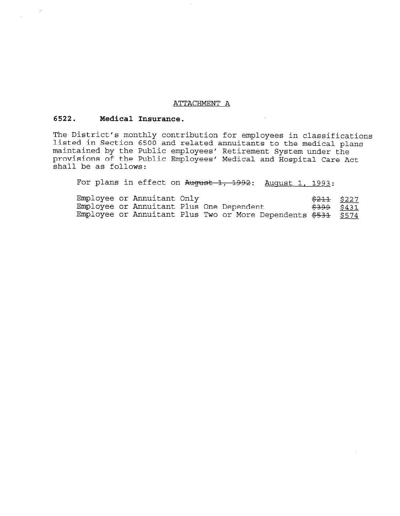#### ATTACHMENT A

## 6522. Medical Insurance.

The District's monthly contribution for employees in classifications listed in Section 6500 and related annuitants to the medical plans maintained by the Public employees' Retirement System under the provisions of the Public Employees' Medical and Hospital Care Act shall be as follows:

For plans in effect on August 1, 1992: August 1, 1993:

Employee or Annuitant Only  $$211$  $$227$ Employee or Annuitant Plus One Dependent Employee or Annuitant Plus One Dependent<br>Employee or Annuitant Plus Two or More Dependents  $\frac{2399}{5574}$  \$574